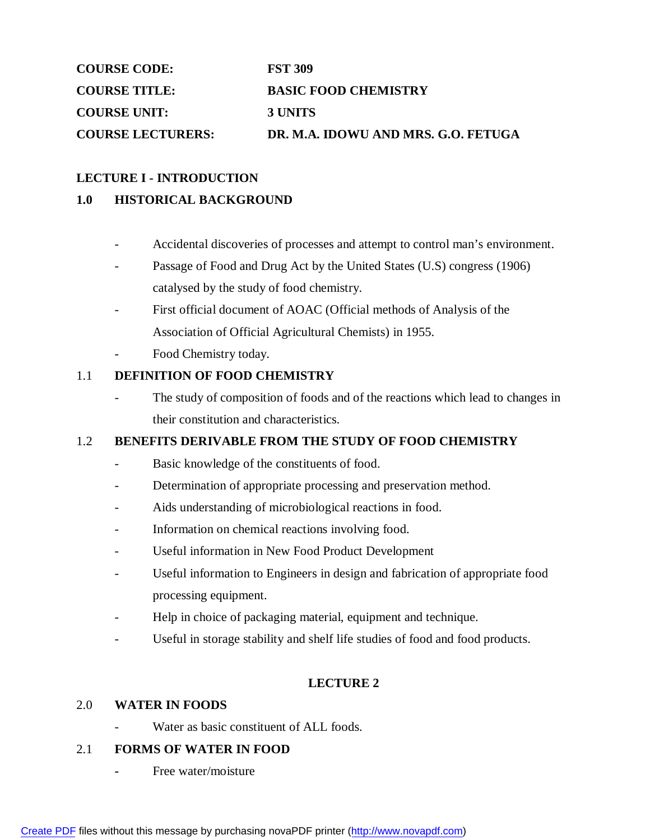| <b>COURSE CODE:</b><br><b>COURSE TITLE:</b><br><b>COURSE UNIT:</b> | <b>FST 309</b>                         |
|--------------------------------------------------------------------|----------------------------------------|
|                                                                    | <b>BASIC FOOD CHEMISTRY</b><br>3 UNITS |
|                                                                    |                                        |

### **LECTURE I - INTRODUCTION**

### **1.0 HISTORICAL BACKGROUND**

- Accidental discoveries of processes and attempt to control man's environment.
- Passage of Food and Drug Act by the United States (U.S) congress (1906) catalysed by the study of food chemistry.
- First official document of AOAC (Official methods of Analysis of the Association of Official Agricultural Chemists) in 1955.
- Food Chemistry today.

### 1.1 **DEFINITION OF FOOD CHEMISTRY**

The study of composition of foods and of the reactions which lead to changes in their constitution and characteristics.

## 1.2 **BENEFITS DERIVABLE FROM THE STUDY OF FOOD CHEMISTRY**

- Basic knowledge of the constituents of food.
- Determination of appropriate processing and preservation method.
- Aids understanding of microbiological reactions in food.
- Information on chemical reactions involving food.
- Useful information in New Food Product Development
- Useful information to Engineers in design and fabrication of appropriate food processing equipment.
- Help in choice of packaging material, equipment and technique.
- Useful in storage stability and shelf life studies of food and food products.

## **LECTURE 2**

### 2.0 **WATER IN FOODS**

Water as basic constituent of ALL foods.

### 2.1 **FORMS OF WATER IN FOOD**

**-** Free water/moisture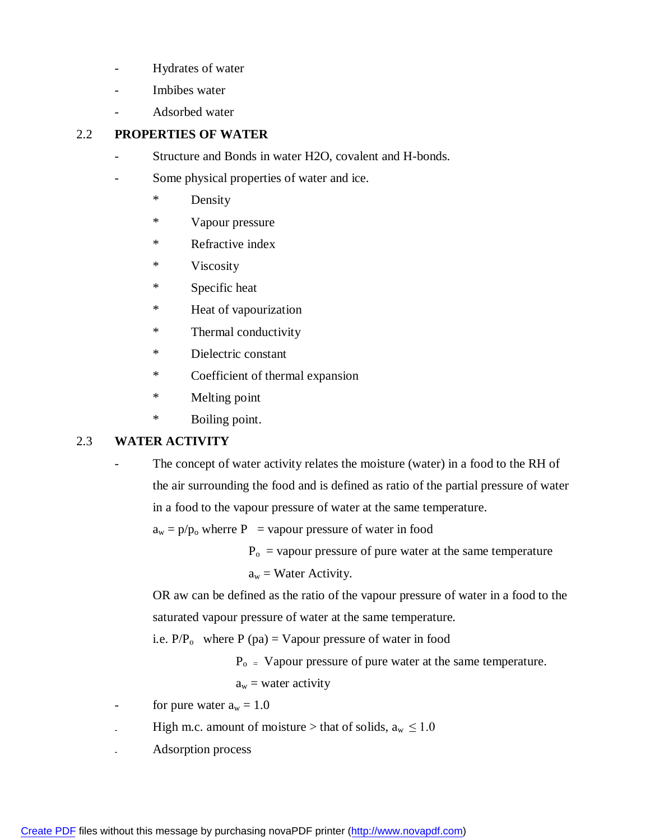- Hydrates of water
- Imbibes water
- Adsorbed water

# 2.2 **PROPERTIES OF WATER**

- Structure and Bonds in water H2O, covalent and H-bonds.
- Some physical properties of water and ice.
	- \* Density
	- \* Vapour pressure
	- \* Refractive index
	- \* Viscosity
	- \* Specific heat
	- \* Heat of vapourization
	- \* Thermal conductivity
	- \* Dielectric constant
	- \* Coefficient of thermal expansion
	- \* Melting point
	- \* Boiling point.

## 2.3 **WATER ACTIVITY**

- The concept of water activity relates the moisture (water) in a food to the RH of the air surrounding the food and is defined as ratio of the partial pressure of water in a food to the vapour pressure of water at the same temperature.

 $a_w = p/p_0$  wherre P = vapour pressure of water in food

 $P<sub>o</sub>$  = vapour pressure of pure water at the same temperature

 $a_w$  = Water Activity.

OR aw can be defined as the ratio of the vapour pressure of water in a food to the saturated vapour pressure of water at the same temperature.

i.e.  $P/P_0$  where  $P$  (pa) = Vapour pressure of water in food

 $P_{o}$  = Vapour pressure of pure water at the same temperature.

 $a_w$  = water activity

- for pure water  $a_w = 1.0$
- High m.c. amount of moisture > that of solids,  $a_w \le 1.0$
- Adsorption process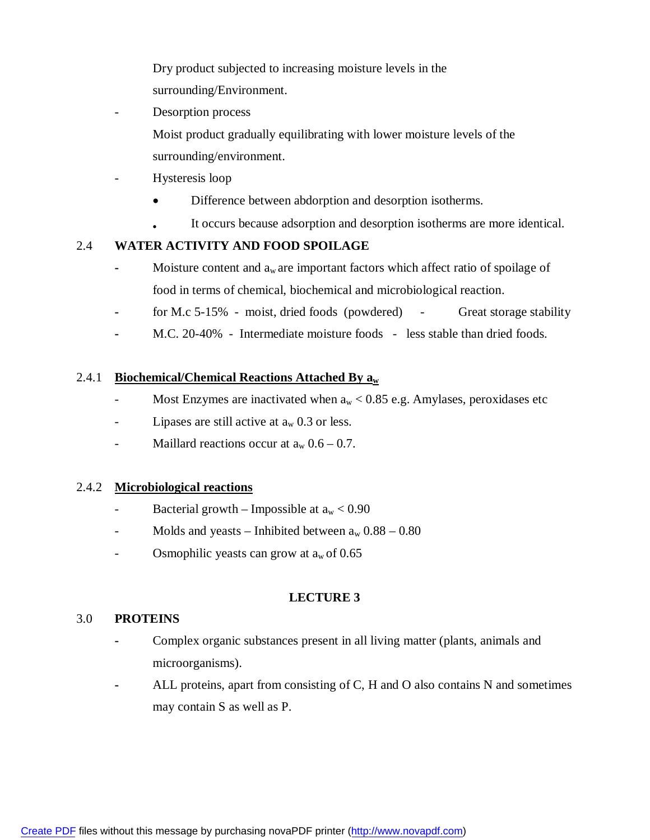Dry product subjected to increasing moisture levels in the surrounding/Environment.

Desorption process

Moist product gradually equilibrating with lower moisture levels of the surrounding/environment.

- Hysteresis loop
	- Difference between abdorption and desorption isotherms.
		- It occurs because adsorption and desorption isotherms are more identical.

### 2.4 **WATER ACTIVITY AND FOOD SPOILAGE**

- **-** Moisture content and a<sup>w</sup> are important factors which affect ratio of spoilage of food in terms of chemical, biochemical and microbiological reaction.
- **-** for M.c 5-15% moist, dried foods (powdered) Great storage stability
- **-** M.C. 20-40% Intermediate moisture foods less stable than dried foods.

### 2.4.1 **Biochemical/Chemical Reactions Attached By a<sup>w</sup>**

- Most Enzymes are inactivated when  $a_w < 0.85$  e.g. Amylases, peroxidases etc
- Lipases are still active at  $a_w$  0.3 or less.
- Maillard reactions occur at  $a_w 0.6 0.7$ .

### 2.4.2 **Microbiological reactions**

- Bacterial growth Impossible at  $a_w < 0.90$
- Molds and yeasts Inhibited between  $a_w$  0.88 0.80
- Osmophilic yeasts can grow at  $a_w$  of 0.65

## **LECTURE 3**

### 3.0 **PROTEINS**

- **-** Complex organic substances present in all living matter (plants, animals and microorganisms).
- **-** ALL proteins, apart from consisting of C, H and O also contains N and sometimes may contain S as well as P.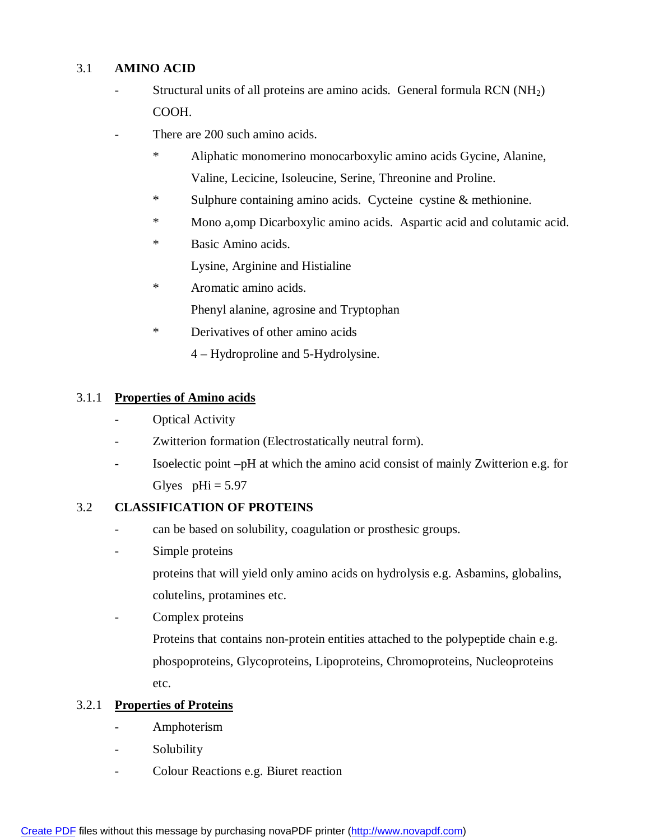## 3.1 **AMINO ACID**

- Structural units of all proteins are amino acids. General formula  $RCN(NH<sub>2</sub>)$ COOH.
- There are 200 such amino acids.
	- Aliphatic monomerino monocarboxylic amino acids Gycine, Alanine, Valine, Lecicine, Isoleucine, Serine, Threonine and Proline.
	- \* Sulphure containing amino acids. Cycteine cystine & methionine.
	- \* Mono a,omp Dicarboxylic amino acids. Aspartic acid and colutamic acid.
	- \* Basic Amino acids.

Lysine, Arginine and Histialine

- \* Aromatic amino acids. Phenyl alanine, agrosine and Tryptophan
- \* Derivatives of other amino acids
	- 4 Hydroproline and 5-Hydrolysine.

## 3.1.1 **Properties of Amino acids**

- Optical Activity
- Zwitterion formation (Electrostatically neutral form).
- Isoelectic point –pH at which the amino acid consist of mainly Zwitterion e.g. for Glyes  $pHi = 5.97$

## 3.2 **CLASSIFICATION OF PROTEINS**

- can be based on solubility, coagulation or prosthesic groups.
- Simple proteins

proteins that will yield only amino acids on hydrolysis e.g. Asbamins, globalins, colutelins, protamines etc.

Complex proteins

Proteins that contains non-protein entities attached to the polypeptide chain e.g. phospoproteins, Glycoproteins, Lipoproteins, Chromoproteins, Nucleoproteins etc.

# 3.2.1 **Properties of Proteins**

- Amphoterism
- Solubility
- Colour Reactions e.g. Biuret reaction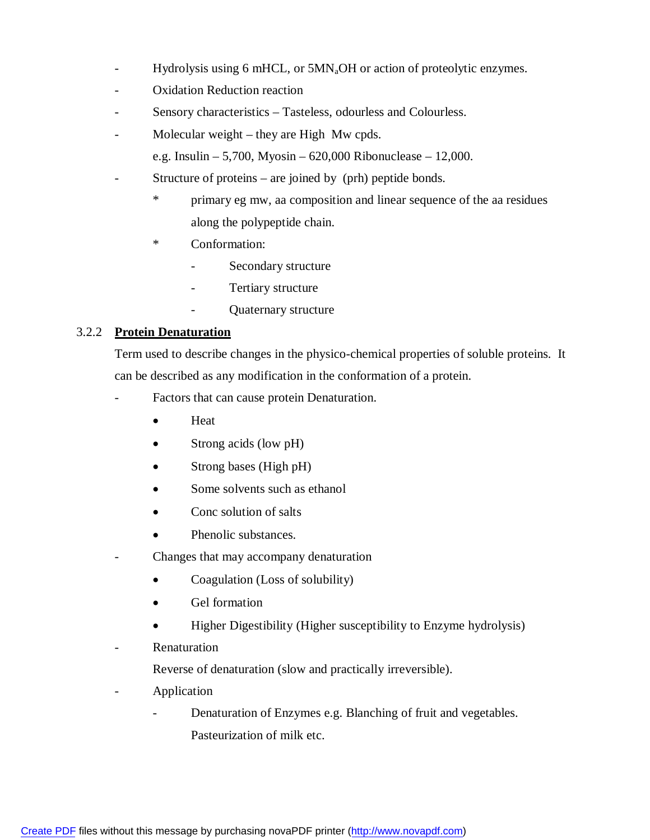- Hydrolysis using 6 mHCL, or 5MN<sub>a</sub>OH or action of proteolytic enzymes.
- Oxidation Reduction reaction
- Sensory characteristics Tasteless, odourless and Colourless.
- Molecular weight they are High  $Mw$  cpds.
	- e.g. Insulin 5,700, Myosin 620,000 Ribonuclease 12,000.
- Structure of proteins are joined by (prh) peptide bonds.
	- \* primary eg mw, aa composition and linear sequence of the aa residues along the polypeptide chain.
	- \* Conformation:
		- Secondary structure
		- Tertiary structure
		- Quaternary structure

### 3.2.2 **Protein Denaturation**

Term used to describe changes in the physico-chemical properties of soluble proteins. It can be described as any modification in the conformation of a protein.

- Factors that can cause protein Denaturation.
	- Heat
	- Strong acids (low pH)
	- Strong bases (High pH)
	- Some solvents such as ethanol
	- Conc solution of salts
	- Phenolic substances.
- Changes that may accompany denaturation
	- Coagulation (Loss of solubility)
	- Gel formation
	- Higher Digestibility (Higher susceptibility to Enzyme hydrolysis)
- **Renaturation**

Reverse of denaturation (slow and practically irreversible).

- **Application** 
	- Denaturation of Enzymes e.g. Blanching of fruit and vegetables. Pasteurization of milk etc.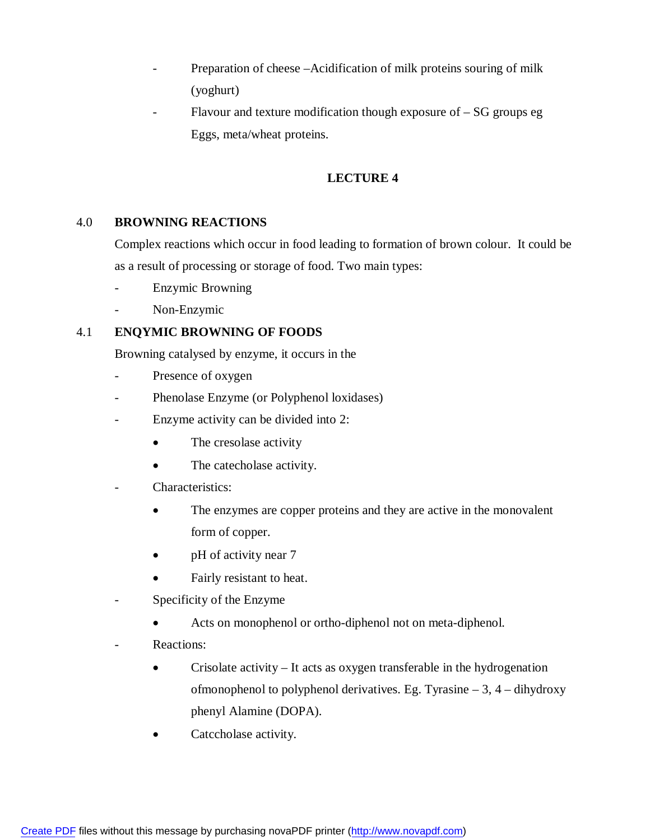- Preparation of cheese –Acidification of milk proteins souring of milk (yoghurt)
- Flavour and texture modification though exposure of  $-$  SG groups eg Eggs, meta/wheat proteins.

## **LECTURE 4**

### 4.0 **BROWNING REACTIONS**

Complex reactions which occur in food leading to formation of brown colour. It could be as a result of processing or storage of food. Two main types:

- Enzymic Browning
- Non-Enzymic

## 4.1 **ENQYMIC BROWNING OF FOODS**

Browning catalysed by enzyme, it occurs in the

- Presence of oxygen
- Phenolase Enzyme (or Polyphenol loxidases)
- Enzyme activity can be divided into 2:
	- The cresolase activity
	- The catecholase activity.
- Characteristics:
	- The enzymes are copper proteins and they are active in the monovalent form of copper.
	- pH of activity near 7
	- Fairly resistant to heat.
- Specificity of the Enzyme
	- Acts on monophenol or ortho-diphenol not on meta-diphenol.
- Reactions:
	- Crisolate activity It acts as oxygen transferable in the hydrogenation ofmonophenol to polyphenol derivatives. Eg. Tyrasine  $-3$ ,  $4$  – dihydroxy phenyl Alamine (DOPA).
	- Catccholase activity.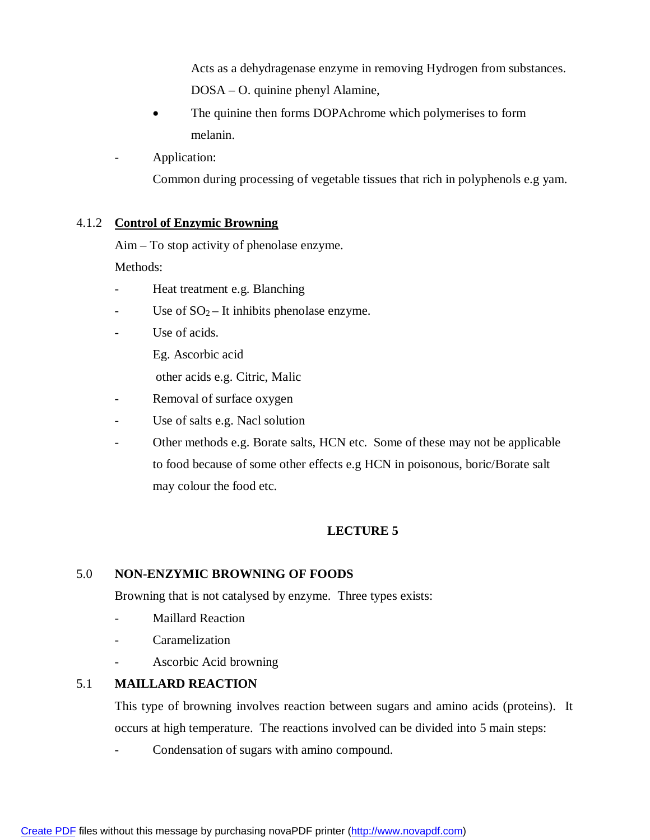Acts as a dehydragenase enzyme in removing Hydrogen from substances. DOSA – O. quinine phenyl Alamine,

- The quinine then forms DOPAchrome which polymerises to form melanin.
- Application:

Common during processing of vegetable tissues that rich in polyphenols e.g yam.

### 4.1.2 **Control of Enzymic Browning**

Aim – To stop activity of phenolase enzyme.

Methods:

- Heat treatment e.g. Blanching
- Use of  $SO_2$  It inhibits phenolase enzyme.
- Use of acids.
	- Eg. Ascorbic acid
	- other acids e.g. Citric, Malic
- Removal of surface oxygen
- Use of salts e.g. Nacl solution
- Other methods e.g. Borate salts, HCN etc. Some of these may not be applicable to food because of some other effects e.g HCN in poisonous, boric/Borate salt may colour the food etc.

# **LECTURE 5**

## 5.0 **NON-ENZYMIC BROWNING OF FOODS**

Browning that is not catalysed by enzyme. Three types exists:

- Maillard Reaction
- **Caramelization**
- Ascorbic Acid browning

## 5.1 **MAILLARD REACTION**

This type of browning involves reaction between sugars and amino acids (proteins). It occurs at high temperature. The reactions involved can be divided into 5 main steps:

Condensation of sugars with amino compound.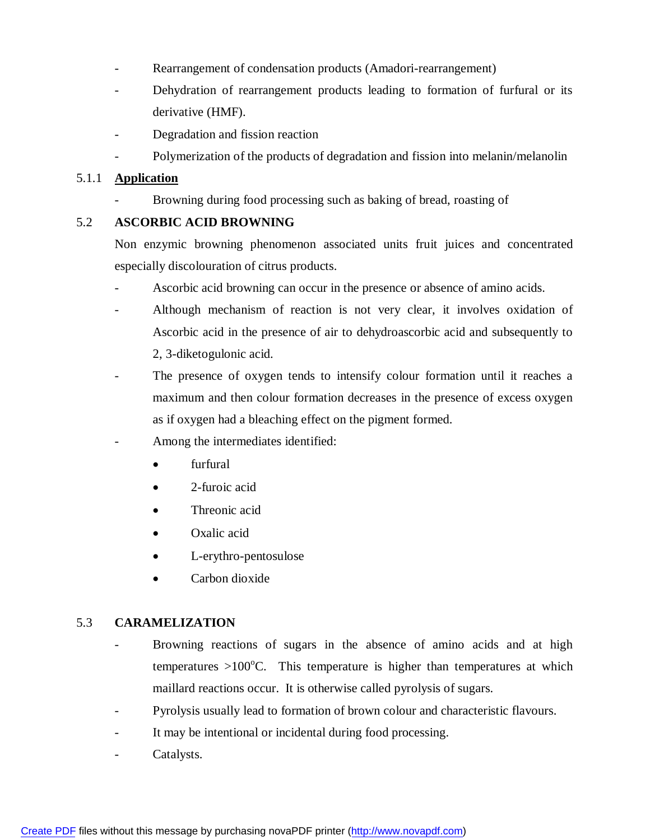- Rearrangement of condensation products (Amadori-rearrangement)
- Dehydration of rearrangement products leading to formation of furfural or its derivative (HMF).
- Degradation and fission reaction
- Polymerization of the products of degradation and fission into melanin/melanolin

### 5.1.1 **Application**

Browning during food processing such as baking of bread, roasting of

### 5.2 **ASCORBIC ACID BROWNING**

Non enzymic browning phenomenon associated units fruit juices and concentrated especially discolouration of citrus products.

- Ascorbic acid browning can occur in the presence or absence of amino acids.
- Although mechanism of reaction is not very clear, it involves oxidation of Ascorbic acid in the presence of air to dehydroascorbic acid and subsequently to 2, 3-diketogulonic acid.
- The presence of oxygen tends to intensify colour formation until it reaches a maximum and then colour formation decreases in the presence of excess oxygen as if oxygen had a bleaching effect on the pigment formed.
- Among the intermediates identified:
	- furfural
	- 2-furoic acid
	- Threonic acid
	- Oxalic acid
	- L-erythro-pentosulose
	- Carbon dioxide

### 5.3 **CARAMELIZATION**

- Browning reactions of sugars in the absence of amino acids and at high temperatures  $>100^{\circ}$ C. This temperature is higher than temperatures at which maillard reactions occur. It is otherwise called pyrolysis of sugars.
- Pyrolysis usually lead to formation of brown colour and characteristic flavours.
- It may be intentional or incidental during food processing.
- Catalysts.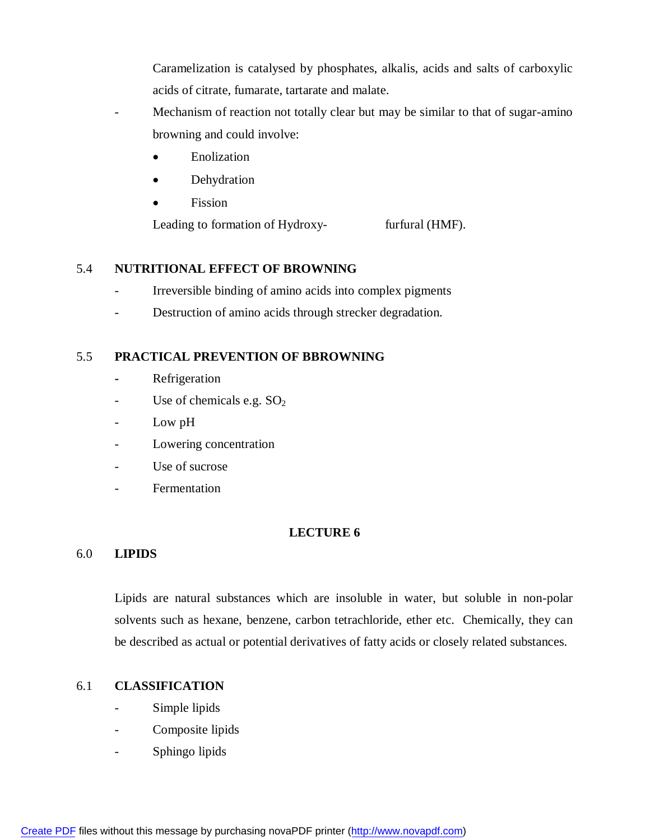Caramelization is catalysed by phosphates, alkalis, acids and salts of carboxylic acids of citrate, fumarate, tartarate and malate.

- Mechanism of reaction not totally clear but may be similar to that of sugar-amino browning and could involve:
	- Enolization
	- Dehydration
	- Fission

Leading to formation of Hydroxy- furfural (HMF).

### 5.4 **NUTRITIONAL EFFECT OF BROWNING**

- Irreversible binding of amino acids into complex pigments
- Destruction of amino acids through strecker degradation.

### 5.5 **PRACTICAL PREVENTION OF BBROWNING**

- **-** Refrigeration
- Use of chemicals e.g.  $SO<sub>2</sub>$
- Low pH
- Lowering concentration
- Use of sucrose
- Fermentation

## **LECTURE 6**

### 6.0 **LIPIDS**

Lipids are natural substances which are insoluble in water, but soluble in non-polar solvents such as hexane, benzene, carbon tetrachloride, ether etc. Chemically, they can be described as actual or potential derivatives of fatty acids or closely related substances.

### 6.1 **CLASSIFICATION**

- Simple lipids
- Composite lipids
- Sphingo lipids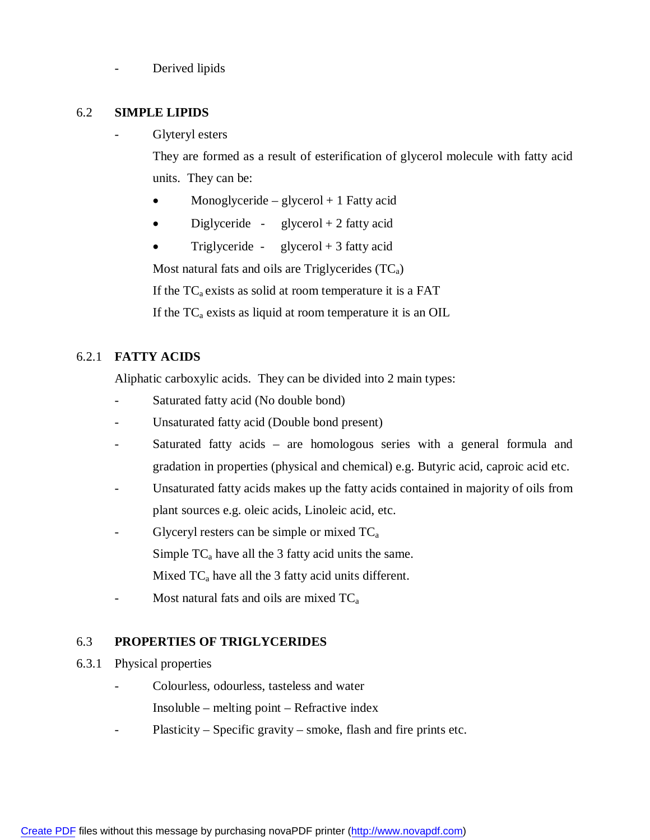Derived lipids

#### 6.2 **SIMPLE LIPIDS**

Glyteryl esters

They are formed as a result of esterification of glycerol molecule with fatty acid units. They can be:

- Monoglyceride glycerol  $+1$  Fatty acid
- Diglyceride glycerol + 2 fatty acid
- Triglyceride glycerol  $+3$  fatty acid

Most natural fats and oils are Triglycerides  $(TC_a)$ 

If the  $TC_a$  exists as solid at room temperature it is a FAT

If the  $TC_a$  exists as liquid at room temperature it is an OIL

### 6.2.1 **FATTY ACIDS**

Aliphatic carboxylic acids. They can be divided into 2 main types:

- Saturated fatty acid (No double bond)
- Unsaturated fatty acid (Double bond present)
- Saturated fatty acids are homologous series with a general formula and gradation in properties (physical and chemical) e.g. Butyric acid, caproic acid etc.
- Unsaturated fatty acids makes up the fatty acids contained in majority of oils from plant sources e.g. oleic acids, Linoleic acid, etc.
- Glyceryl resters can be simple or mixed  $TC_a$ Simple  $TC_a$  have all the 3 fatty acid units the same. Mixed  $TC_a$  have all the 3 fatty acid units different.
- Most natural fats and oils are mixed  $TC_a$

### 6.3 **PROPERTIES OF TRIGLYCERIDES**

- 6.3.1 Physical properties
	- Colourless, odourless, tasteless and water Insoluble – melting point – Refractive index
	- Plasticity Specific gravity smoke, flash and fire prints etc.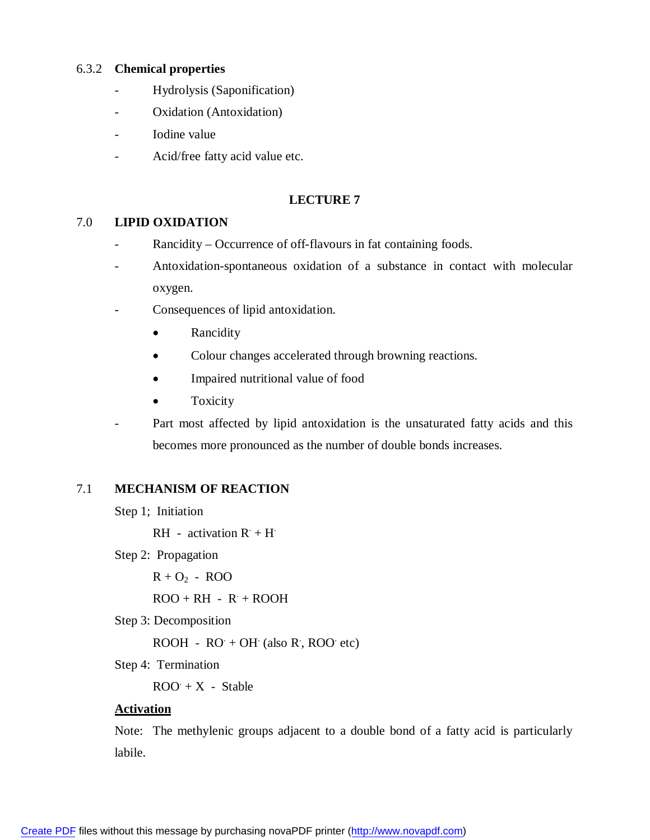#### 6.3.2 **Chemical properties**

- Hydrolysis (Saponification)
- Oxidation (Antoxidation)
- Iodine value
- Acid/free fatty acid value etc.

#### **LECTURE 7**

#### 7.0 **LIPID OXIDATION**

- Rancidity Occurrence of off-flavours in fat containing foods.
- Antoxidation-spontaneous oxidation of a substance in contact with molecular oxygen.
- Consequences of lipid antoxidation.
	- Rancidity
	- Colour changes accelerated through browning reactions.
	- Impaired nutritional value of food
	- Toxicity
- Part most affected by lipid antoxidation is the unsaturated fatty acids and this becomes more pronounced as the number of double bonds increases.

#### 7.1 **MECHANISM OF REACTION**

Step 1; Initiation

RH - activation  $R + H$ 

- Step 2: Propagation
	- $R + O<sub>2</sub> ROO$

 $ROO + RH - R' + ROOH$ 

Step 3: Decomposition

 $ROOH - RO + OH$  (also R, ROO etc)

Step 4: Termination

 $ROO + X - Stable$ 

#### **Activation**

Note: The methylenic groups adjacent to a double bond of a fatty acid is particularly labile.